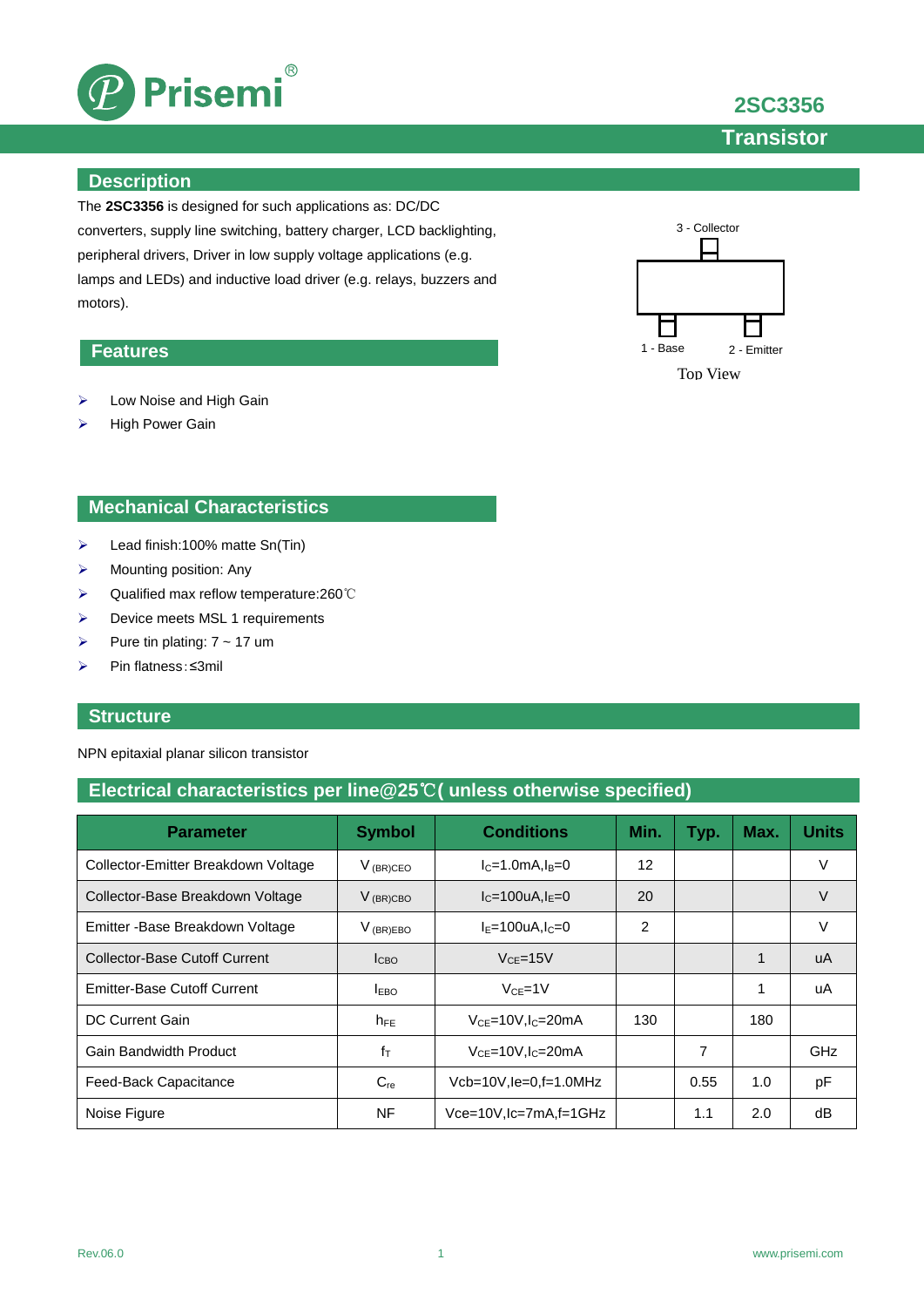

**2SC3356**

**Transistor**

### **Description**

The **2SC3356** is designed for such applications as: DC/DC converters, supply line switching, battery charger, LCD backlighting, peripheral drivers, Driver in low supply voltage applications (e.g. lamps and LEDs) and inductive load driver (e.g. relays, buzzers and motors).

## **Features**

- ▶ Low Noise and High Gain
- > High Power Gain

## **Mechanical Characteristics**

- $\blacktriangleright$  Lead finish:100% matte Sn(Tin)
- $\triangleright$  Mounting position: Any
- Qualified max reflow temperature:260℃
- $\triangleright$  Device meets MSL 1 requirements
- Pure tin plating:  $7 \sim 17$  um
- Pin flatness:≤3mil

### **Structure**

NPN epitaxial planar silicon transistor

## **Electrical characteristics per line@25**℃**( unless otherwise specified)**

| <b>Parameter</b>                     | <b>Symbol</b> | <b>Conditions</b>                   | Min. | Typ. | Max. | <b>Units</b> |
|--------------------------------------|---------------|-------------------------------------|------|------|------|--------------|
| Collector-Emitter Breakdown Voltage  | $V_{(BR)CEO}$ | $IC=1.0mA, IB=0$                    | 12   |      |      | V            |
| Collector-Base Breakdown Voltage     | $V_{(BR)CBO}$ | $I_{C} = 100$ uA, $I_{F} = 0$       | 20   |      |      | V            |
| Emitter - Base Breakdown Voltage     | $V_{(BR)EBO}$ | $I_F = 100 uA, I_C = 0$             | 2    |      |      | V            |
| <b>Collector-Base Cutoff Current</b> | ICBO          | $VCF=15V$                           |      |      | 1    | uA           |
| <b>Emitter-Base Cutoff Current</b>   | $I_{EBO}$     | $V_{CF} = 1V$                       |      |      | 1    | uA           |
| DC Current Gain                      | $h_{FE}$      | $VCE=10V, IC=20mA$                  | 130  |      | 180  |              |
| Gain Bandwidth Product               | $f_T$         | $V_{CF}$ =10V, I <sub>C</sub> =20mA |      | 7    |      | <b>GHz</b>   |
| Feed-Back Capacitance                | $C_{re}$      | $Vcb=10V$ , $le=0$ , $f=1.0$ MHz    |      | 0.55 | 1.0  | pF           |
| Noise Figure                         | NF            | Vce=10V,lc=7mA,f=1GHz               |      | 1.1  | 2.0  | dB           |

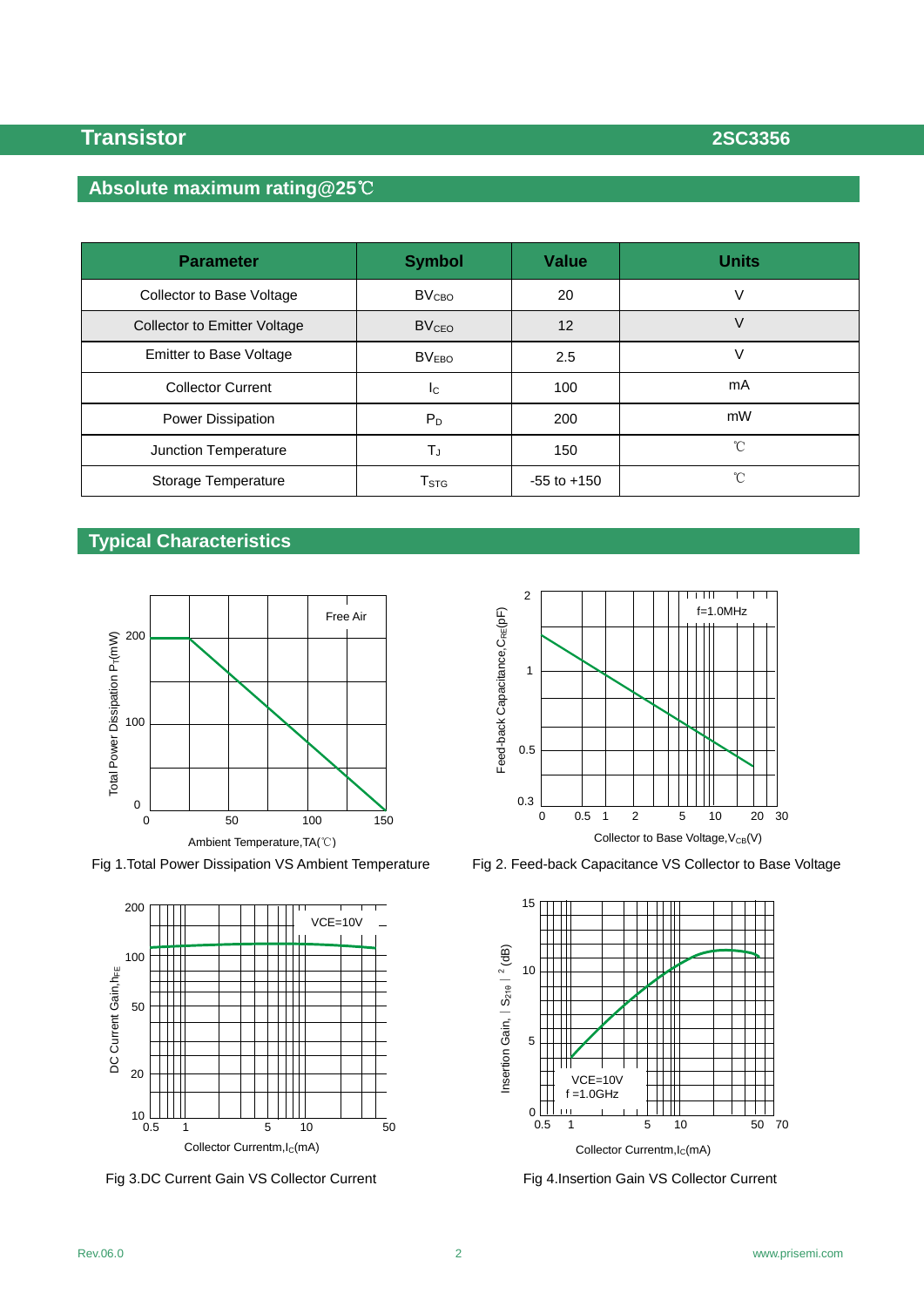## **Absolute maximum rating@25**℃

| <b>Parameter</b>                    | <b>Symbol</b>               | <b>Value</b>    | <b>Units</b> |
|-------------------------------------|-----------------------------|-----------------|--------------|
| Collector to Base Voltage           | BV <sub>CBO</sub>           | 20              | V            |
| <b>Collector to Emitter Voltage</b> | <b>BV<sub>CEO</sub></b>     | 12              | V            |
| <b>Emitter to Base Voltage</b>      | BV <sub>EBO</sub>           | 2.5             | V            |
| <b>Collector Current</b>            | <sub>Ic</sub>               | 100             | mA           |
| Power Dissipation                   | $P_D$                       | 200             | mW           |
| Junction Temperature                | TJ.                         | 150             | °C           |
| Storage Temperature                 | $\mathsf{T}_{\texttt{STG}}$ | $-55$ to $+150$ | °C           |

## **Typical Characteristics**





Fig 3.DC Current Gain VS Collector Current Fig 4.Insertion Gain VS Collector Current



Fig 1.Total Power Dissipation VS Ambient Temperature Fig 2. Feed-back Capacitance VS Collector to Base Voltage

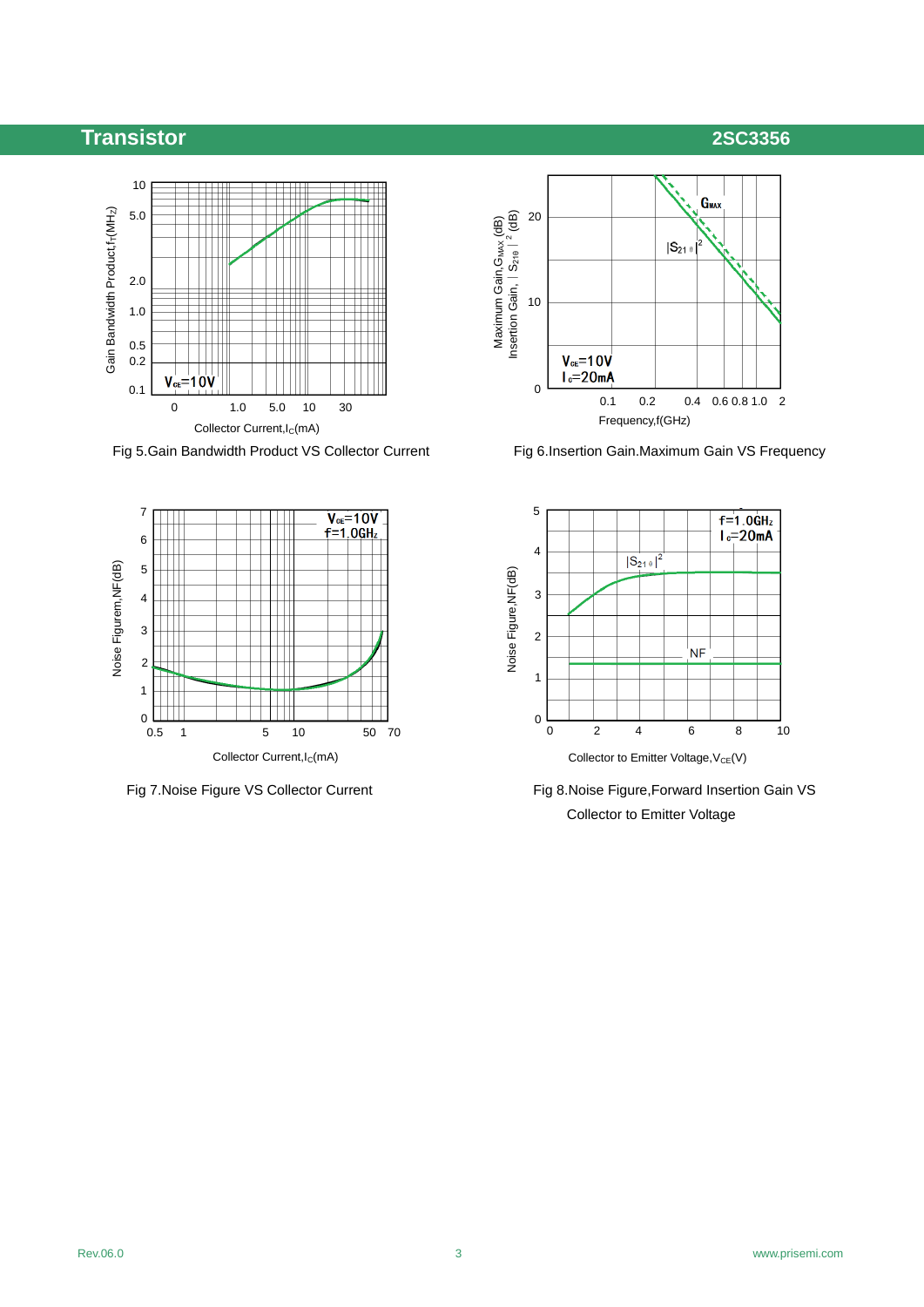## **Transistor 2SC3356**

## 10 Gain Bandwidth Product, f<sub>r</sub>(MH<sub>Z</sub>) 5.0 Gain Bandwidth Product, $f_T$ (MHz) 2.0 1.0 0.5 0.2  $V_{ce} = 10V$ 0.1 0 1.0 5.0 10 30 Collector Current, I<sub>C</sub>(mA)

Fig 5.Gain Bandwidth Product VS Collector Current Fig 6.Insertion Gain.Maximum Gain VS Frequency







Fig 7.Noise Figure VS Collector Current Fig 8.Noise Figure, Forward Insertion Gain VS Collector to Emitter Voltage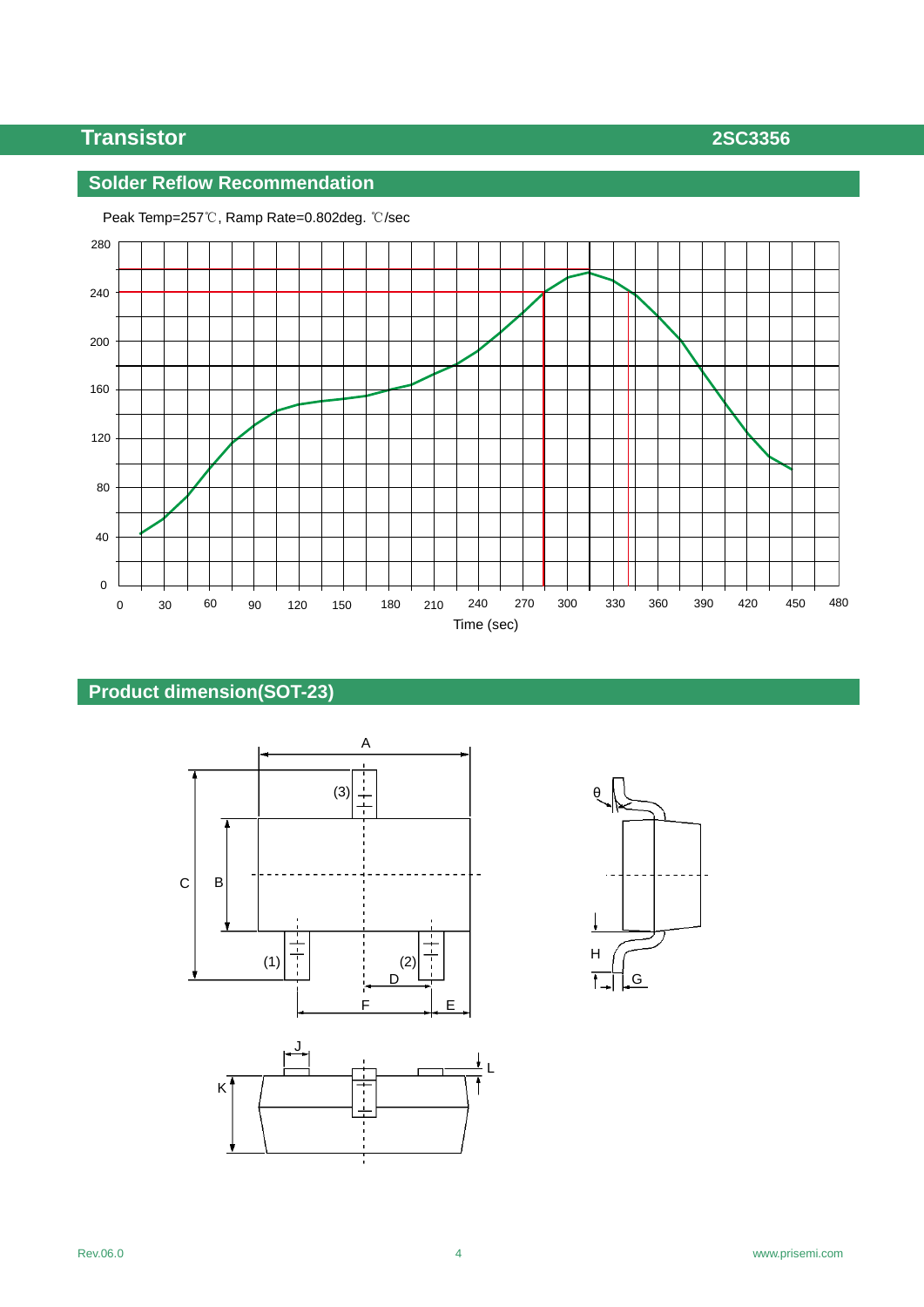# **Transistor 2SC3356**

## **Solder Reflow Recommendation**



Peak Temp=257℃, Ramp Rate=0.802deg. ℃/sec

## **Product dimension(SOT-23)**





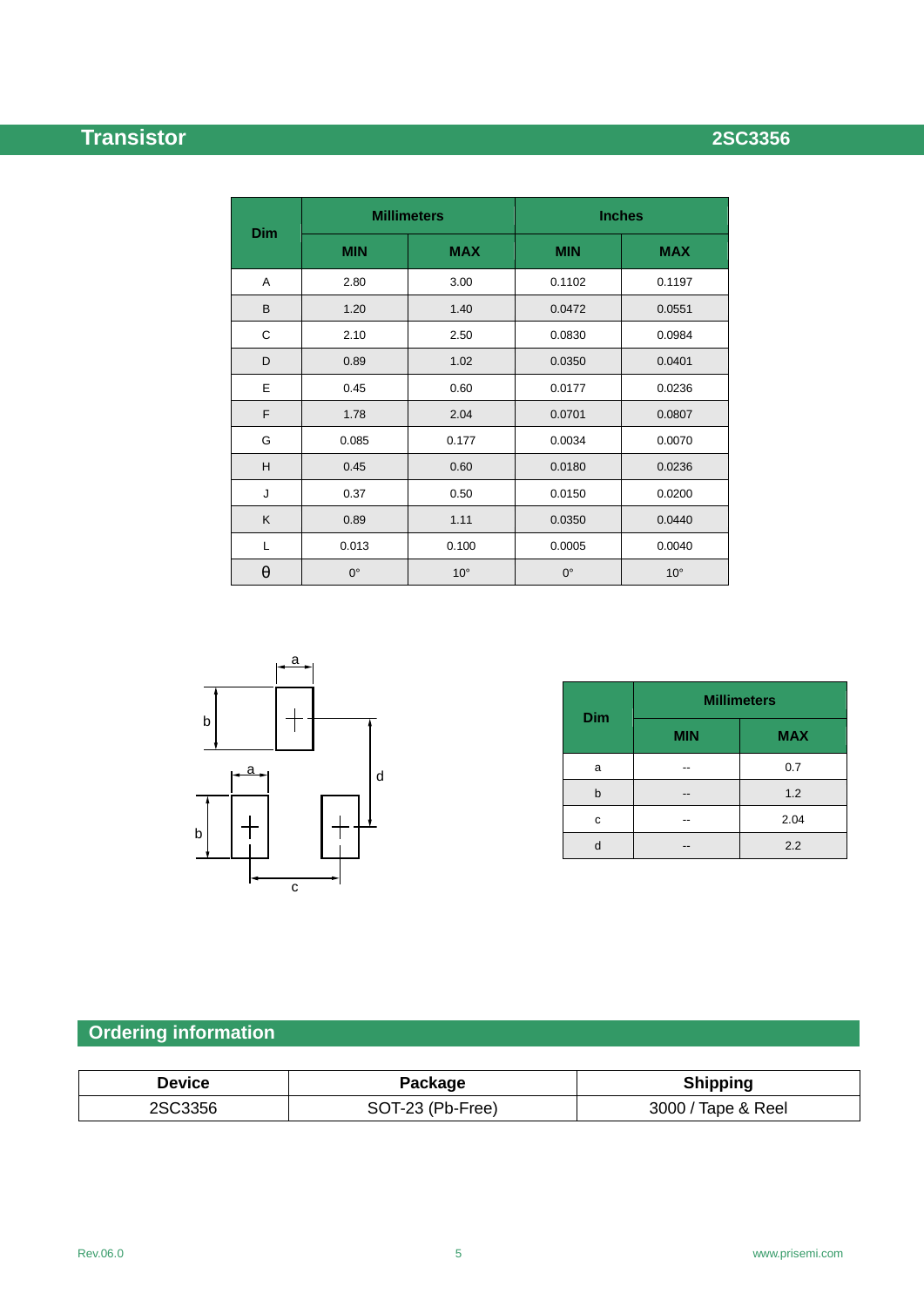# **Transistor 2SC3356**

|            |             | <b>Millimeters</b> | <b>Inches</b> |              |  |
|------------|-------------|--------------------|---------------|--------------|--|
| <b>Dim</b> | <b>MIN</b>  | <b>MAX</b>         | <b>MIN</b>    | <b>MAX</b>   |  |
| Α          | 2.80        | 3.00               | 0.1102        | 0.1197       |  |
| B          | 1.20        | 1.40               | 0.0472        | 0.0551       |  |
| С          | 2.10        | 2.50               | 0.0830        | 0.0984       |  |
| D          | 0.89        | 1.02               | 0.0350        | 0.0401       |  |
| E          | 0.45        | 0.60               | 0.0177        | 0.0236       |  |
| F          | 1.78        | 2.04               | 0.0701        | 0.0807       |  |
| G          | 0.085       | 0.177              | 0.0034        | 0.0070       |  |
| H          | 0.45        | 0.60               | 0.0180        | 0.0236       |  |
| J          | 0.37        | 0.50               | 0.0150        | 0.0200       |  |
| K          | 0.89        | 1.11               | 0.0350        | 0.0440       |  |
| Г          | 0.013       | 0.100              | 0.0005        | 0.0040       |  |
| $\theta$   | $0^{\circ}$ | $10^{\circ}$       | $0^{\circ}$   | $10^{\circ}$ |  |



| <b>Dim</b> | <b>Millimeters</b> |            |  |  |
|------------|--------------------|------------|--|--|
|            | <b>MIN</b>         | <b>MAX</b> |  |  |
| a          |                    | 0.7        |  |  |
| b          |                    | 1.2        |  |  |
| c          |                    | 2.04       |  |  |
|            |                    | 2.2        |  |  |

# **Ordering information**

| Device  | Package          | <b>Shipping</b>    |
|---------|------------------|--------------------|
| 2SC3356 | SOT-23 (Pb-Free) | 3000 / Tape & Reel |